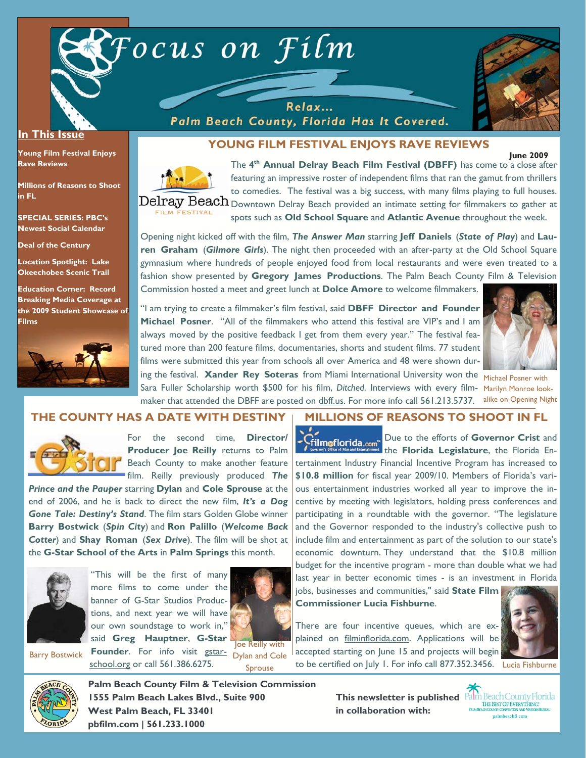

Relax... Palm Beach County, Florida Has It Covered.



**June 2009** 

## **In This Issue**

**Young Film Festival Enjoys Rave Reviews** 

**Millions of Reasons to Shoot in FL** 

**SPECIAL SERIES: PBC's Newest Social Calendar** 

**Deal of the Century** 

**Location Spotlight: Lake Okeechobee Scenic Trail** 

**Education Corner: Record Breaking Media Coverage at the 2009 Student Showcase of Films**



# **YOUNG FILM FESTIVAL ENJOYS RAVE REVIEWS**

The **4th Annual Delray Beach Film Festival (DBFF)** has come to a close after featuring an impressive roster of independent films that ran the gamut from thrillers to comedies. The festival was a big success, with many films playing to full houses.  $\text{Delay Beach}$   $_{\text{Downtown}}$  Delray Beach provided an intimate setting for filmmakers to gather at FILM FESTIVAL spots such as **Old School Square** and **Atlantic Avenue** throughout the week.

Opening night kicked off with the film, *The Answer Man* starring **Jeff Daniels** (*State of Play*) and **Lauren Graham** (*Gilmore Girls*). The night then proceeded with an after-party at the Old School Square gymnasium where hundreds of people enjoyed food from local restaurants and were even treated to a fashion show presented by **Gregory James Productions**. The Palm Beach County Film & Television Commission hosted a meet and greet lunch at **Dolce Amore** to welcome filmmakers.

"I am trying to create a filmmaker's film festival, said **DBFF Director and Founder Michael Posner**. "All of the filmmakers who attend this festival are VIP's and I am always moved by the positive feedback I get from them every year." The festival featured more than 200 feature films, documentaries, shorts and student films. 77 student films were submitted this year from schools all over America and 48 were shown during the festival. **Xander Rey Soteras** from Miami International University won the Michael Posner with



Sara Fuller Scholarship worth \$500 for his film, *Ditched*. Interviews with every film-Marilyn Monroe lookmaker that attended the DBFF are posted on dbff.us. For more info call 561.213.5737. alike on Opening Night

### **THE COUNTY HAS A DATE WITH DESTINY**



For the second time, **Director/ Producer Joe Reilly** returns to Palm Beach County to make another feature film. Reilly previously produced *The* 

*Prince and the Pauper* starring **Dylan** and **Cole Sprouse** at the end of 2006, and he is back to direct the new film, *It's a Dog Gone Tale: Destiny's Stand*. The film stars Golden Globe winner **Barry Bostwick** (*Spin City*) and **Ron Palillo** (*Welcome Back Cotter*) and **Shay Roman** (*Sex Drive*). The film will be shot at the **G-Star School of the Arts** in **Palm Springs** this month.



Barry Bostwick

"This will be the first of many more films to come under the banner of G-Star Studios Productions, and next year we will have our own soundstage to work in," said **Greg Hauptner**, **G-Star** 

school.org or call 561.386.6275.



**Founder.** For info visit gstar- Dylan and Cole Joe Reilly with Sprouse

#### **MILLIONS OF REASONS TO SHOOT IN FL**

Due to the efforts of **Governor Crist** and the **Florida Legislature**, the Florida Entertainment Industry Financial Incentive Program has increased to **\$10.8 million** for fiscal year 2009/10. Members of Florida's various entertainment industries worked all year to improve the incentive by meeting with legislators, holding press conferences and participating in a roundtable with the governor. "The legislature and the Governor responded to the industry's collective push to include film and entertainment as part of the solution to our state's economic downturn. They understand that the \$10.8 million budget for the incentive program - more than double what we had last year in better economic times - is an investment in Florida jobs, businesses and communities," said **State Film** 

**Commissioner Lucia Fishburne**.

There are four incentive queues, which are explained on filminflorida.com. Applications will be accepted starting on June 15 and projects will begin to be certified on July 1. For info call 877.352.3456. Lucia Fishburne





**Palm Beach County Film & Television Commission 1555 Palm Beach Lakes Blvd., Suite 900 West Palm Beach, FL 33401 pbfilm.com | 561.233.1000** 

**This newsletter is published in collaboration with:**

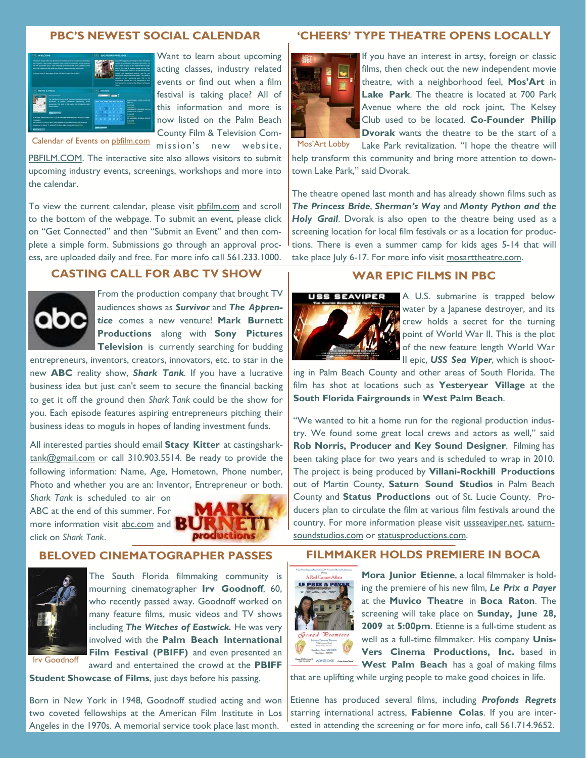#### **PBC'S NEWEST SOCIAL CALENDAR**



Want to learn about upcoming acting classes, industry related events or find out when a film festival is taking place? All of this information and more is now listed on the Palm Beach County Film & Television Com-

mission's new website,

Calendar of Events on pbfilm.com

PBFILM.COM. The interactive site also allows visitors to submit upcoming industry events, screenings, workshops and more into the calendar.

To view the current calendar, please visit pbfilm.com and scroll to the bottom of the webpage. To submit an event, please click on "Get Connected" and then "Submit an Event" and then complete a simple form. Submissions go through an approval process, are uploaded daily and free. For more info call 561.233.1000.

# **CASTING CALL FOR ABC TV SHOW**



From the production company that brought TV audiences shows as *Survivor* and *The Apprentice* comes a new venture! **Mark Burnett Productions** along with **Sony Pictures Television** is currently searching for budding

entrepreneurs, inventors, creators, innovators, etc. to star in the new **ABC** reality show, *Shark Tank*. If you have a lucrative business idea but just can't seem to secure the financial backing to get it off the ground then *Shark Tank* could be the show for you. Each episode features aspiring entrepreneurs pitching their business ideas to moguls in hopes of landing investment funds.

All interested parties should email **Stacy Kitter** at castingsharktank@gmail.com or call 310.903.5514. Be ready to provide the following information: Name, Age, Hometown, Phone number, Photo and whether you are an: Inventor, Entrepreneur or both.

*Shark Tank* is scheduled to air on ABC at the end of this summer. For more information visit abc.com and click on *Shark Tank*.



### **BELOVED CINEMATOGRAPHER PASSES**



The South Florida filmmaking community is mourning cinematographer **Irv Goodnoff**, 60, who recently passed away. Goodnoff worked on many feature films, music videos and TV shows including *The Witches of Eastwick.* He was very involved with the **Palm Beach International Film Festival (PBIFF)** and even presented an award and entertained the crowd at the **PBIFF** 

Irv Goodnoff

**Student Showcase of Films**, just days before his passing.

Born in New York in 1948, Goodnoff studied acting and won two coveted fellowships at the American Film Institute in Los Angeles in the 1970s. A memorial service took place last month.

### **'CHEERS' TYPE THEATRE OPENS LOCALLY**



If you have an interest in artsy, foreign or classic films, then check out the new independent movie theatre, with a neighborhood feel, **Mos'Art** in **Lake Park**. The theatre is located at 700 Park Avenue where the old rock joint, The Kelsey Club used to be located. **Co-Founder Philip Dvorak** wants the theatre to be the start of a Lake Park revitalization. "I hope the theatre will

help transform this community and bring more attention to downtown Lake Park," said Dvorak.

The theatre opened last month and has already shown films such as *The Princess Bride*, *Sherman's Way* and *Monty Python and the Holy Grail*. Dvorak is also open to the theatre being used as a screening location for local film festivals or as a location for productions. There is even a summer camp for kids ages 5-14 that will take place July 6-17. For more info visit mosarttheatre.com.

### **WAR EPIC FILMS IN PBC**



A U.S. submarine is trapped below water by a Japanese destroyer, and its crew holds a secret for the turning point of World War II. This is the plot of the new feature length World War II epic, *USS Sea Viper*, which is shoot-

ing in Palm Beach County and other areas of South Florida. The film has shot at locations such as **Yesteryear Village** at the **South Florida Fairgrounds** in **West Palm Beach**.

"We wanted to hit a home run for the regional production industry. We found some great local crews and actors as well," said **Rob Norris, Producer and Key Sound Designer**. Filming has been taking place for two years and is scheduled to wrap in 2010. The project is being produced by **Villani-Rockhill Productions**  out of Martin County, **Saturn Sound Studios** in Palm Beach County and **Status Productions** out of St. Lucie County. Producers plan to circulate the film at various film festivals around the country. For more information please visit ussseaviper.net, saturnsoundstudios.com or statusproductions.com.

## **FILMMAKER HOLDS PREMIERE IN BOCA**



**Mora Junior Etienne**, a local filmmaker is holding the premiere of his new film, *Le Prix a Payer*  at the **Muvico Theatre** in **Boca Raton**. The screening will take place on **Sunday, June 28, 2009** at **5:00pm**. Etienne is a full-time student as well as a full-time filmmaker. His company **Unis-Vers Cinema Productions, Inc.** based in **West Palm Beach** has a goal of making films

that are uplifting while urging people to make good choices in life.

Etienne has produced several films, including *Profonds Regrets*  starring international actress, **Fabienne Colas**. If you are interested in attending the screening or for more info, call 561.714.9652.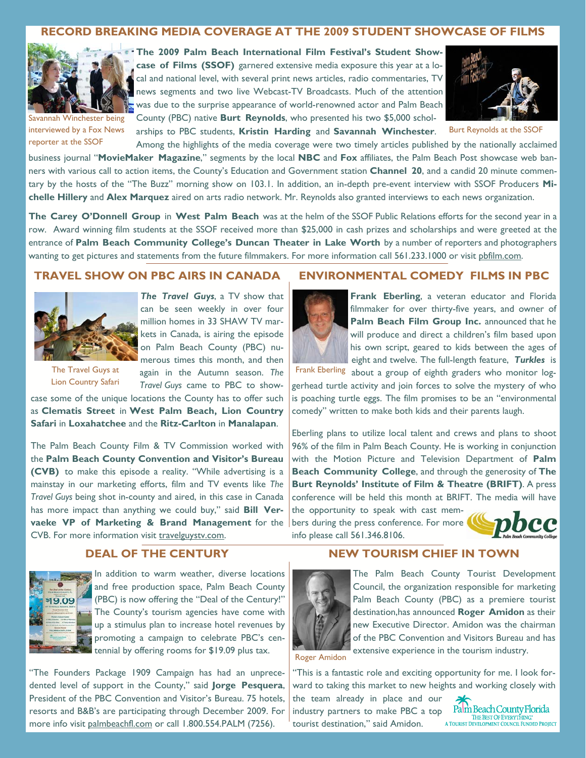## **RECORD BREAKING MEDIA COVERAGE AT THE 2009 STUDENT SHOWCASE OF FILMS**



**The 2009 Palm Beach International Film Festival's Student Showcase of Films (SSOF)** garnered extensive media exposure this year at a local and national level, with several print news articles, radio commentaries, TV news segments and two live Webcast-TV Broadcasts. Much of the attention was due to the surprise appearance of world-renowned actor and Palm Beach County (PBC) native **Burt Reynolds**, who presented his two \$5,000 schol-



Burt Reynolds at the SSOF

Savannah Winchester being interviewed by a Fox News reporter at the SSOF

arships to PBC students, **Kristin Harding** and **Savannah Winchester**. Among the highlights of the media coverage were two timely articles published by the nationally acclaimed business journal "**MovieMaker Magazine**," segments by the local **NBC** and **Fox** affiliates, the Palm Beach Post showcase web banners with various call to action items, the County's Education and Government station **Channel 20**, and a candid 20 minute commen-

tary by the hosts of the "The Buzz" morning show on 103.1. In addition, an in-depth pre-event interview with SSOF Producers **Michelle Hillery** and **Alex Marquez** aired on arts radio network. Mr. Reynolds also granted interviews to each news organization.

**The Carey O'Donnell Group** in **West Palm Beach** was at the helm of the SSOF Public Relations efforts for the second year in a row. Award winning film students at the SSOF received more than \$25,000 in cash prizes and scholarships and were greeted at the entrance of **Palm Beach Community College's Duncan Theater in Lake Worth** by a number of reporters and photographers wanting to get pictures and statements from the future filmmakers. For more information call 561.233.1000 or visit phfilm.com.

## **TRAVEL SHOW ON PBC AIRS IN CANADA**



*The Travel Guys*, a TV show that can be seen weekly in over four million homes in 33 SHAW TV markets in Canada, is airing the episode on Palm Beach County (PBC) numerous times this month, and then

The Travel Guys at Lion Country Safari again in the Autumn season. *The Travel Guys* came to PBC to show-

case some of the unique locations the County has to offer such as **Clematis Street** in **West Palm Beach, Lion Country Safari** in **Loxahatchee** and the **Ritz-Carlton** in **Manalapan**.

The Palm Beach County Film & TV Commission worked with the **Palm Beach County Convention and Visitor's Bureau (CVB)** to make this episode a reality. "While advertising is a mainstay in our marketing efforts, film and TV events like *The Travel Guys* being shot in-county and aired, in this case in Canada has more impact than anything we could buy," said **Bill Vervaeke VP of Marketing & Brand Management** for the CVB. For more information visit travelguystv.com.

# **DEAL OF THE CENTURY**



In addition to warm weather, diverse locations and free production space, Palm Beach County (PBC) is now offering the "Deal of the Century!" The County's tourism agencies have come with up a stimulus plan to increase hotel revenues by promoting a campaign to celebrate PBC's centennial by offering rooms for \$19.09 plus tax.

"The Founders Package 1909 Campaign has had an unprecedented level of support in the County," said **Jorge Pesquera**, President of the PBC Convention and Visitor's Bureau. 75 hotels, resorts and B&B's are participating through December 2009. For more info visit palmbeachfl.com or call 1.800.554.PALM (7256).

### **ENVIRONMENTAL COMEDY FILMS IN PBC**

**Frank Eberling**, a veteran educator and Florida filmmaker for over thirty-five years, and owner of **Palm Beach Film Group Inc.** announced that he will produce and direct a children's film based upon his own script, geared to kids between the ages of eight and twelve. The full-length feature, *Turkles* is

Frank Eberling about a group of eighth graders who monitor loggerhead turtle activity and join forces to solve the mystery of who is poaching turtle eggs. The film promises to be an "environmental comedy" written to make both kids and their parents laugh.

Eberling plans to utilize local talent and crews and plans to shoot 96% of the film in Palm Beach County. He is working in conjunction with the Motion Picture and Television Department of **Palm Beach Community College**, and through the generosity of **The Burt Reynolds' Institute of Film & Theatre (BRIFT)**. A press conference will be held this month at BRIFT. The media will have

**NEW TOURISM CHIEF IN TOWN** 

the opportunity to speak with cast members during the press conference. For more info please call 561.346.8106.





The Palm Beach County Tourist Development Council, the organization responsible for marketing Palm Beach County (PBC) as a premiere tourist destination,has announced **Roger Amidon** as their new Executive Director. Amidon was the chairman of the PBC Convention and Visitors Bureau and has extensive experience in the tourism industry.

Roger Amidon

"This is a fantastic role and exciting opportunity for me. I look forward to taking this market to new heights and working closely with

the team already in place and our industry partners to make PBC a top Palm Beach County Florida<br>
TOURIST OF EVERYTHING: THE BESTOR EVERYTHING: tourist destination," said Amidon.

Palm Beach County Florida